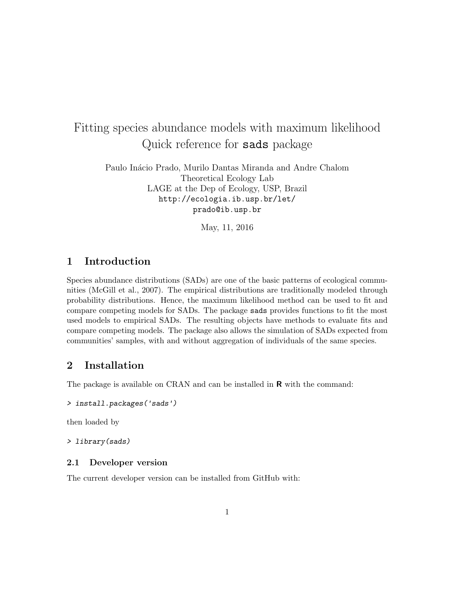# Fitting species abundance models with maximum likelihood Quick reference for sads package

Paulo Inácio Prado, Murilo Dantas Miranda and Andre Chalom Theoretical Ecology Lab LAGE at the Dep of Ecology, USP, Brazil http://ecologia.ib.usp.br/let/ prado@ib.usp.br

May, 11, 2016

### 1 Introduction

Species abundance distributions (SADs) are one of the basic patterns of ecological communities (McGill et al., 2007). The empirical distributions are traditionally modeled through probability distributions. Hence, the maximum likelihood method can be used to fit and compare competing models for SADs. The package sads provides functions to fit the most used models to empirical SADs. The resulting objects have methods to evaluate fits and compare competing models. The package also allows the simulation of SADs expected from communities' samples, with and without aggregation of individuals of the same species.

### 2 Installation

The package is available on CRAN and can be installed in  **with the command:** 

```
> install.packages('sads')
```
then loaded by

> library(sads)

#### 2.1 Developer version

The current developer version can be installed from GitHub with: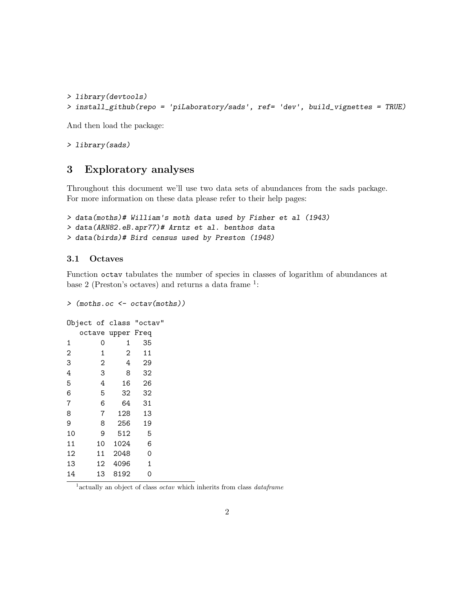```
> library(devtools)
> install_github(repo = 'piLaboratory/sads', ref= 'dev', build_vignettes = TRUE)
```
And then load the package:

> library(sads)

### 3 Exploratory analyses

Throughout this document we'll use two data sets of abundances from the sads package. For more information on these data please refer to their help pages:

```
> data(moths)# William's moth data used by Fisher et al (1943)
```

```
> data(ARN82.eB.apr77)# Arntz et al. benthos data
```

```
> data(birds)# Bird census used by Preston (1948)
```
#### 3.1 Octaves

Function octav tabulates the number of species in classes of logarithm of abundances at base 2 (Preston's octaves) and returns a data frame  $1$ :

```
> (moths.oc <- octav(moths))
Object of class "octav"
 octave upper Freq
1 0 1 35
2 1 2 11
3 2 4 29
4 3 8 32
5 4 16 26
6 5 32 32
7 6 64 31
8 7 128 13
9 8 256 19
10 9 512 5
11 10 1024 6
12 11 2048 0
13 12 4096 1
14 13 8192 0
```
<sup>1</sup> actually an object of class *octav* which inherits from class *dataframe*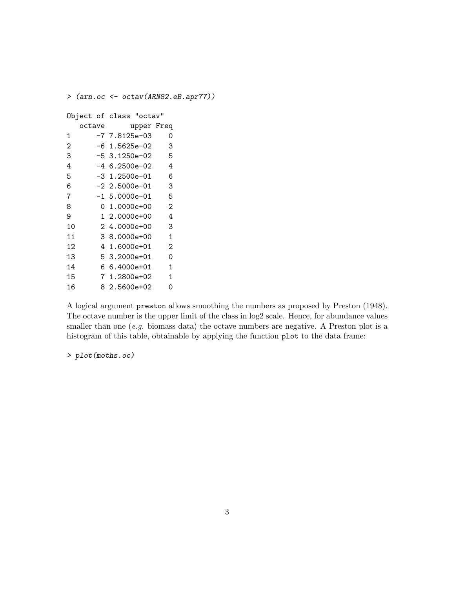```
> (arn.oc <- octav(ARN82.eB.apr77))
Object of class "octav"
  octave upper Freq
1 -7 7.8125e-03 0
2 -6 1.5625e-02 3
3 -5 3.1250e-02 5
4 -4 6.2500e-02 4
5 -3 1.2500e-01 6
6 -2 2.5000e-01 3
7 -1 5.0000e-01 5
8 0 1.0000e+00 2
9 1 2.0000e+00 4
10 2 4.0000e+00 3
11 3 8.0000e+00 1
12 4 1.6000e+01 2
13 5 3.2000e+01 0
14 6 6.4000e+01 1
15 7 1.2800e+02 1
16 8 2.5600e+02 0
```
A logical argument preston allows smoothing the numbers as proposed by Preston (1948). The octave number is the upper limit of the class in log2 scale. Hence, for abundance values smaller than one (e.g. biomass data) the octave numbers are negative. A Preston plot is a histogram of this table, obtainable by applying the function plot to the data frame:

> plot(moths.oc)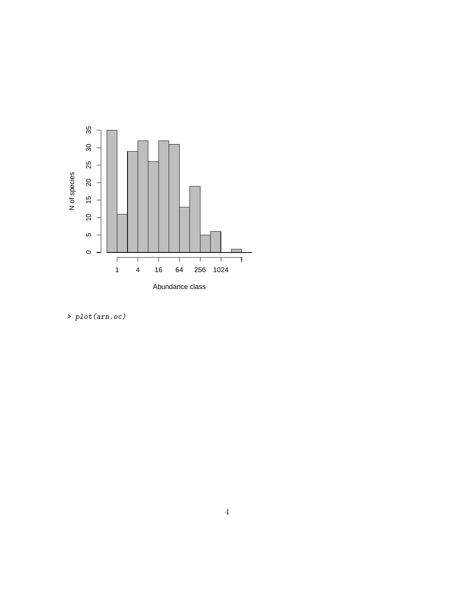

> plot(arn.oc)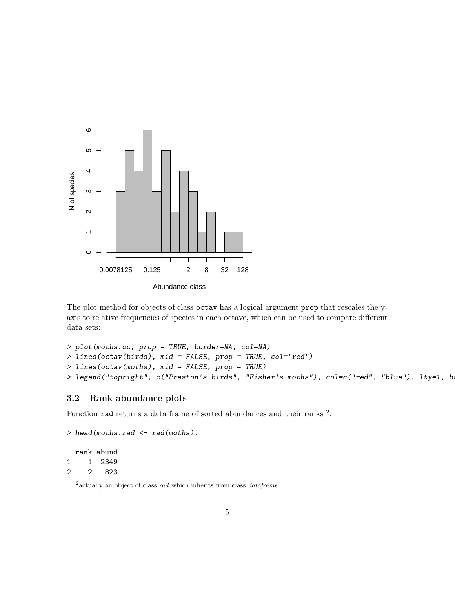

The plot method for objects of class octav has a logical argument prop that rescales the yaxis to relative frequencies of species in each octave, which can be used to compare different data sets:

```
> plot(moths.oc, prop = TRUE, border=NA, col=NA)
> lines(octav(birds), mid = FALSE, prop = TRUE, col="red")
> lines(octav(moths), mid = FALSE, prop = TRUE)
> legend("topright", c("Preston's birds", "Fisher's moths"), col=c("red", "blue"), lty=1, b
```
#### 3.2 Rank-abundance plots

Function rad returns a data frame of sorted abundances and their ranks <sup>2</sup>:

```
> head(moths.rad <- rad(moths))
```
rank abund 1 1 2349 2 2 823

<sup>&</sup>lt;sup>2</sup> actually an object of class *rad* which inherits from class *dataframe*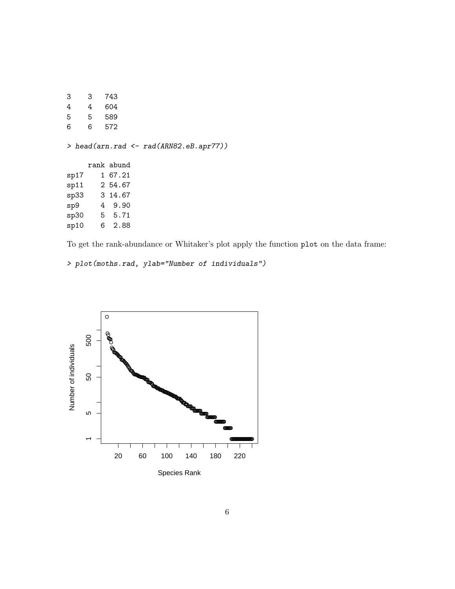| 3    | 3 | 743                                              |
|------|---|--------------------------------------------------|
| 4    | 4 | 604                                              |
| 5    | 5 | 589                                              |
| 6    | 6 | 572                                              |
|      |   | > head(arn.rad $\leftarrow$ rad(ARN82.eB.apr77)) |
|      |   | rank abund                                       |
| sp17 |   | 1 67.21                                          |
|      |   | sp11 2 54.67                                     |
|      |   | sp33 3 14.67                                     |
| sp9  |   | 4 9.90                                           |
|      |   | sp30 5 5.71                                      |
| sp10 |   | 6 2.88                                           |
|      |   |                                                  |

To get the rank-abundance or Whitaker's plot apply the function plot on the data frame:

```
> plot(moths.rad, ylab="Number of individuals")
```
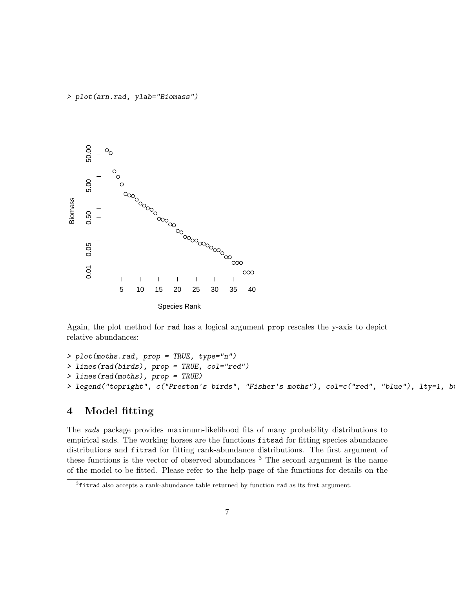> plot(arn.rad, ylab="Biomass")



Again, the plot method for rad has a logical argument prop rescales the y-axis to depict relative abundances:

```
> plot(moths.rad, prop = TRUE, type="n")
> lines(rad(birds), prop = TRUE, col="red")
> lines(rad(moths), prop = TRUE)
> legend("topright", c("Preston's birds", "Fisher's moths"), col=c("red", "blue"), lty=1, b
```
### 4 Model fitting

The sads package provides maximum-likelihood fits of many probability distributions to empirical sads. The working horses are the functions fitsad for fitting species abundance distributions and fitrad for fitting rank-abundance distributions. The first argument of these functions is the vector of observed abundances <sup>3</sup> The second argument is the name of the model to be fitted. Please refer to the help page of the functions for details on the

<sup>&</sup>lt;sup>3</sup>fitrad also accepts a rank-abundance table returned by function rad as its first argument.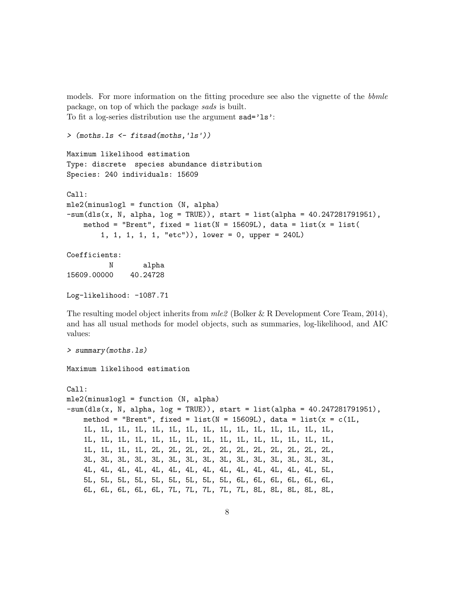models. For more information on the fitting procedure see also the vignette of the bbmle package, on top of which the package sads is built. To fit a log-series distribution use the argument sad='ls':

```
> (moths.ls <- fitsad(moths,'ls'))
```

```
Maximum likelihood estimation
Type: discrete species abundance distribution
Species: 240 individuals: 15609
Call:
mle2(minuslogl = function (N, alpha)
-sum(dls(x, N, alpha, log = TRUE)), start = list(dapha = 40.247281791951),method = "Brent", fixed = list(N = 15609L), data = list(x = list(1, 1, 1, 1, 1, "etc")), lower = 0, upper = 240L)
```
Coefficients: N alpha 15609.00000 40.24728

```
Log-likelihood: -1087.71
```
The resulting model object inherits from  $mle2$  (Bolker & R Development Core Team, 2014), and has all usual methods for model objects, such as summaries, log-likelihood, and AIC values:

```
> summary(moths.ls)
Maximum likelihood estimation
Call:
mle2(minuslogl = function (N, alpha)
-sum(dls(x, N, alpha, log = TRUE)), start = list(dapha = 40.247281791951),method = "Brent", fixed = list(N = 15609L), data = list(x = c(1L,1L, 1L, 1L, 1L, 1L, 1L, 1L, 1L, 1L, 1L, 1L, 1L, 1L, 1L, 1L,
    1L, 1L, 1L, 1L, 1L, 1L, 1L, 1L, 1L, 1L, 1L, 1L, 1L, 1L, 1L,
    1L, 1L, 1L, 1L, 2L, 2L, 2L, 2L, 2L, 2L, 2L, 2L, 2L, 2L, 2L,
    3L, 3L, 3L, 3L, 3L, 3L, 3L, 3L, 3L, 3L, 3L, 3L, 3L, 3L, 3L,
    4L, 4L, 4L, 4L, 4L, 4L, 4L, 4L, 4L, 4L, 4L, 4L, 4L, 4L, 5L,
    5L, 5L, 5L, 5L, 5L, 5L, 5L, 5L, 5L, 6L, 6L, 6L, 6L, 6L, 6L,
    6L, 6L, 6L, 6L, 6L, 7L, 7L, 7L, 7L, 7L, 8L, 8L, 8L, 8L, 8L,
```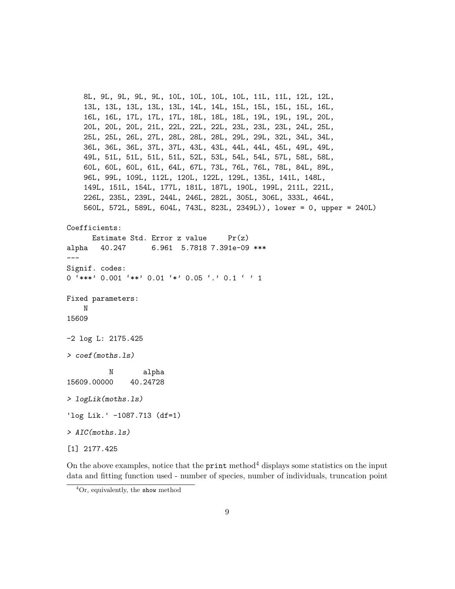8L, 9L, 9L, 9L, 9L, 10L, 10L, 10L, 10L, 11L, 11L, 12L, 12L, 13L, 13L, 13L, 13L, 13L, 14L, 14L, 15L, 15L, 15L, 15L, 16L, 16L, 16L, 17L, 17L, 17L, 18L, 18L, 18L, 19L, 19L, 19L, 20L, 20L, 20L, 20L, 21L, 22L, 22L, 22L, 23L, 23L, 23L, 24L, 25L, 25L, 25L, 26L, 27L, 28L, 28L, 28L, 29L, 29L, 32L, 34L, 34L, 36L, 36L, 36L, 37L, 37L, 43L, 43L, 44L, 44L, 45L, 49L, 49L, 49L, 51L, 51L, 51L, 51L, 52L, 53L, 54L, 54L, 57L, 58L, 58L, 60L, 60L, 60L, 61L, 64L, 67L, 73L, 76L, 76L, 78L, 84L, 89L, 96L, 99L, 109L, 112L, 120L, 122L, 129L, 135L, 141L, 148L, 149L, 151L, 154L, 177L, 181L, 187L, 190L, 199L, 211L, 221L, 226L, 235L, 239L, 244L, 246L, 282L, 305L, 306L, 333L, 464L, 560L, 572L, 589L, 604L, 743L, 823L, 2349L)), lower = 0, upper = 240L) Coefficients: Estimate Std. Error z value  $Pr(z)$ alpha 40.247 6.961 5.7818 7.391e-09 \*\*\* --- Signif. codes: 0 '\*\*\*' 0.001 '\*\*' 0.01 '\*' 0.05 '.' 0.1 ' ' 1 Fixed parameters: N 15609 -2 log L: 2175.425 > coef(moths.ls) N alpha 15609.00000 40.24728 > logLik(moths.ls) 'log Lik.' -1087.713 (df=1) > AIC(moths.ls) [1] 2177.425

On the above examples, notice that the  $\text{print method}^4$  displays some statistics on the input data and fitting function used - number of species, number of individuals, truncation point

 ${}^{4}$ Or, equivalently, the show method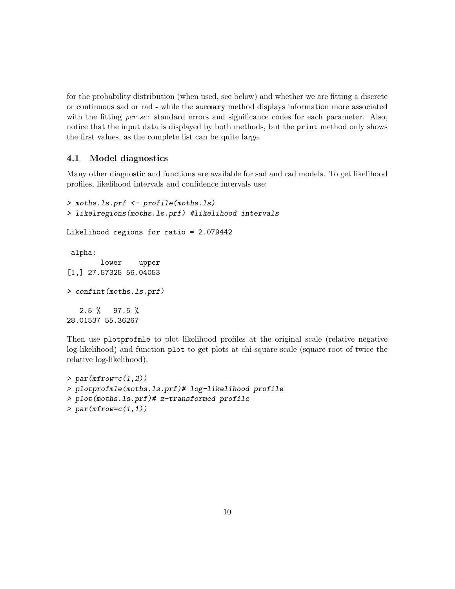for the probability distribution (when used, see below) and whether we are fitting a discrete or continuous sad or rad - while the summary method displays information more associated with the fitting per se: standard errors and significance codes for each parameter. Also, notice that the input data is displayed by both methods, but the **print** method only shows the first values, as the complete list can be quite large.

#### 4.1 Model diagnostics

Many other diagnostic and functions are available for sad and rad models. To get likelihood profiles, likelihood intervals and confidence intervals use:

```
> moths.ls.prf <- profile(moths.ls)
> likelregions(moths.ls.prf) #likelihood intervals
Likelihood regions for ratio = 2.079442
 alpha:
        lower upper
[1,] 27.57325 56.04053
> confint(moths.ls.prf)
   2.5 % 97.5 %
28.01537 55.36267
```
Then use plotprofmle to plot likelihood profiles at the original scale (relative negative log-likelihood) and function plot to get plots at chi-square scale (square-root of twice the relative log-likelihood):

```
> par(mfrow=c(1,2))> plotprofmle(moths.ls.prf)# log-likelihood profile
> plot(moths.ls.prf)# z-transformed profile
> par(mfrow=c(1,1))
```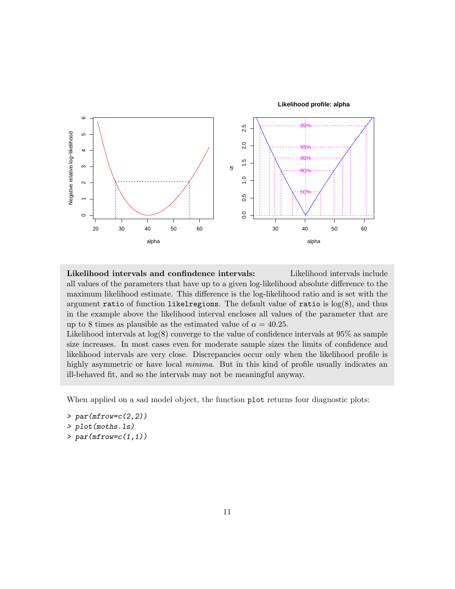



Likelihood intervals and confindence intervals: Likelihood intervals include all values of the parameters that have up to a given log-likelihood absolute difference to the maximum likelihood estimate. This difference is the log-likelihood ratio and is set with the argument ratio of function likelregions. The default value of ratio is  $log(8)$ , and thus in the example above the likelihood interval encloses all values of the parameter that are up to 8 times as plausible as the estimated value of  $\alpha = 40.25$ .

Likelihood intervals at  $log(8)$  converge to the value of confidence intervals at  $95\%$  as sample size increases. In most cases even for moderate sample sizes the limits of confidence and likelihood intervals are very close. Discrepancies occur only when the likelihood profile is highly asymmetric or have local *minima*. But in this kind of profile usually indicates an ill-behaved fit, and so the intervals may not be meaningful anyway.

When applied on a sad model object, the function plot returns four diagnostic plots:

- $> par(mfrow=c(2,2))$
- > plot(moths.ls)
- $> par(mfrow=c(1,1))$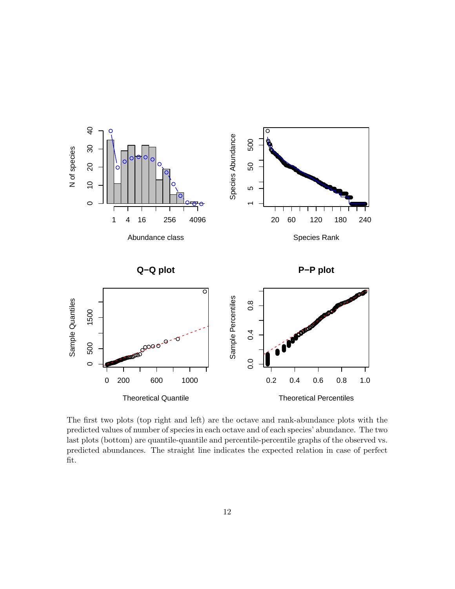

The first two plots (top right and left) are the octave and rank-abundance plots with the predicted values of number of species in each octave and of each species' abundance. The two last plots (bottom) are quantile-quantile and percentile-percentile graphs of the observed vs. predicted abundances. The straight line indicates the expected relation in case of perfect fit.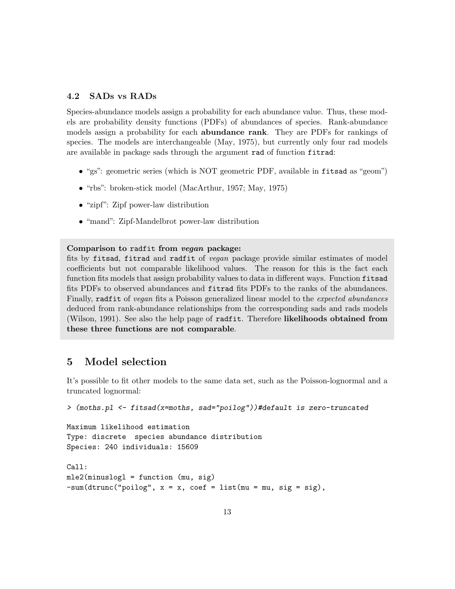#### 4.2 SADs vs RADs

Species-abundance models assign a probability for each abundance value. Thus, these models are probability density functions (PDFs) of abundances of species. Rank-abundance models assign a probability for each **abundance rank**. They are PDFs for rankings of species. The models are interchangeable (May, 1975), but currently only four rad models are available in package sads through the argument rad of function fitrad:

- "gs": geometric series (which is NOT geometric PDF, available in fitsad as "geom")
- "rbs": broken-stick model (MacArthur, 1957; May, 1975)
- "zipf": Zipf power-law distribution
- "mand": Zipf-Mandelbrot power-law distribution

#### Comparison to radfit from vegan package:

fits by fitsad, fitrad and radfit of vegan package provide similar estimates of model coefficients but not comparable likelihood values. The reason for this is the fact each function fits models that assign probability values to data in different ways. Function fitsad fits PDFs to observed abundances and fitrad fits PDFs to the ranks of the abundances. Finally, radfit of vegan fits a Poisson generalized linear model to the expected abundances deduced from rank-abundance relationships from the corresponding sads and rads models (Wilson, 1991). See also the help page of radfit. Therefore likelihoods obtained from these three functions are not comparable.

### 5 Model selection

It's possible to fit other models to the same data set, such as the Poisson-lognormal and a truncated lognormal:

```
> (moths.pl <- fitsad(x=moths, sad="poilog"))#default is zero-truncated
```
Maximum likelihood estimation Type: discrete species abundance distribution Species: 240 individuals: 15609

```
Call:
mle2(minuslogl = function (mu, sig)
-sum(dtrunc("pointing", x = x, coef = list(mu = mu, sig = sig),
```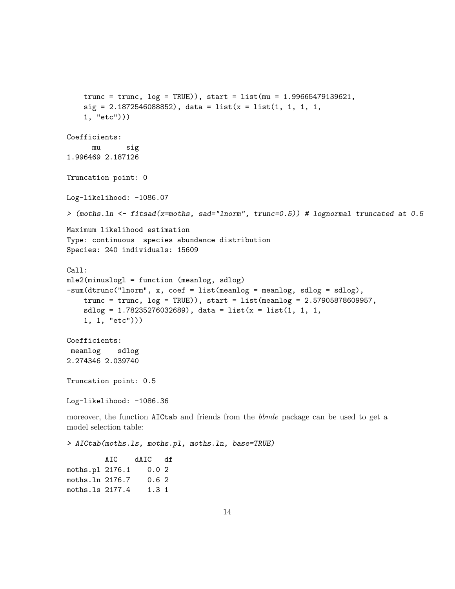```
trunc = trunc, log = TRUE)), start = list(mu = 1.99665479139621,
    sig = 2.1872546088852, data = list(x = list(1, 1, 1, 1,
    1, "etc")))
Coefficients:
      mu sig
1.996469 2.187126
Truncation point: 0
Log-likelihood: -1086.07
> (moths.ln <- fitsad(x=moths, sad="lnorm", trunc=0.5)) # lognormal truncated at 0.5
Maximum likelihood estimation
Type: continuous species abundance distribution
Species: 240 individuals: 15609
Call:
mle2(minuslogl = function (meanlog, sdlog)
-sum(dtrunc("lnorm", x, coef = list(meanlog = meanlog, sdlog = sdlog),
    trunc = trunc, log = TRUE), start = list(meanlog = 2.57905878609957,
    sdlog = 1.78235276032689, data = list(x = list(1, 1, 1,
    1, 1, "etc")))
Coefficients:
 meanlog sdlog
2.274346 2.039740
Truncation point: 0.5
Log-likelihood: -1086.36
moreover, the function AICtab and friends from the bbmle package can be used to get a
model selection table:
> AICtab(moths.ls, moths.pl, moths.ln, base=TRUE)
         AIC dAIC df
moths.pl 2176.1 0.0 2
moths.ln 2176.7 0.6 2
moths.ls 2177.4 1.3 1
```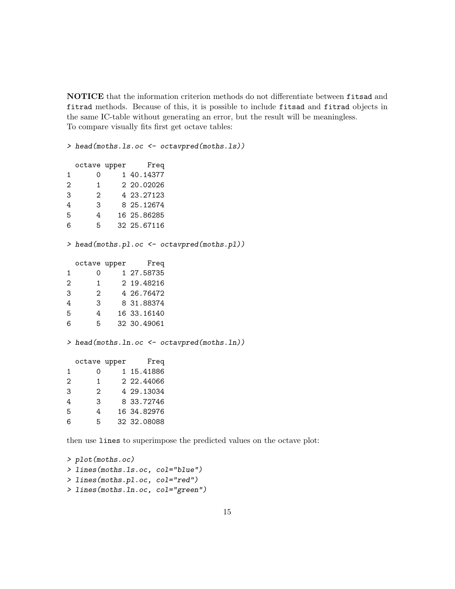NOTICE that the information criterion methods do not differentiate between fitsad and fitrad methods. Because of this, it is possible to include fitsad and fitrad objects in the same IC-table without generating an error, but the result will be meaningless. To compare visually fits first get octave tables:

> head(moths.ls.oc <- octavpred(moths.ls))

|                   | octave upper      | Freq        |
|-------------------|-------------------|-------------|
| 1                 | O)                | 1 40.14377  |
| $\mathcal{D}_{1}$ | $\mathbf{1}$      | 2 20,02026  |
| 3                 | $\mathcal{D}_{1}$ | 4 23.27123  |
| 4                 | 3                 | 8 25.12674  |
| 5                 | 4                 | 16 25.86285 |
| հ                 | 5                 | 32 25.67116 |

> head(moths.pl.oc <- octavpred(moths.pl))

|                | octave upper      | Freq        |
|----------------|-------------------|-------------|
| 1              | Ω                 | 1 27.58735  |
| $\mathfrak{D}$ | 1.                | 2 19.48216  |
| 3              | $\mathcal{D}_{1}$ | 4 26.76472  |
| 4              | 3                 | 8 31.88374  |
| 5              | 4                 | 16 33.16140 |
| 6              | 5.                | 32 30.49061 |

> head(moths.ln.oc <- octavpred(moths.ln))

octave upper Freq 1 0 1 15.41886 2 1 2 22.44066 3 2 4 29.13034 4 3 8 33.72746 5 4 16 34.82976 6 5 32 32.08088

then use lines to superimpose the predicted values on the octave plot:

```
> plot(moths.oc)
> lines(moths.ls.oc, col="blue")
> lines(moths.pl.oc, col="red")
> lines(moths.ln.oc, col="green")
```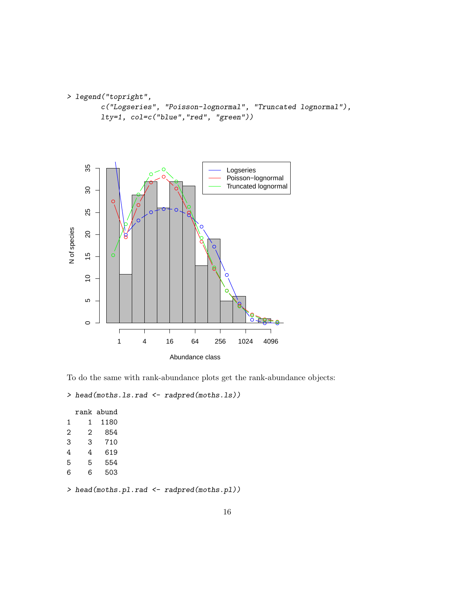```
> legend("topright",
       c("Logseries", "Poisson-lognormal", "Truncated lognormal"),
       lty=1, col=c("blue","red", "green"))
```


To do the same with rank-abundance plots get the rank-abundance objects:

```
> head(moths.ls.rad <- radpred(moths.ls))
```
> head(moths.pl.rad <- radpred(moths.pl))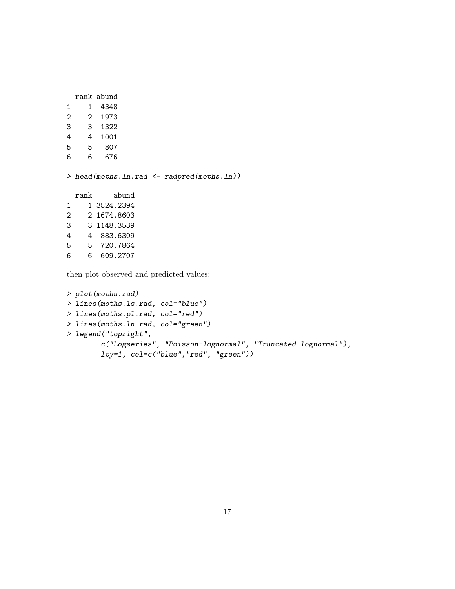```
rank abund
1 1 4348
2 2 1973
3 3 1322
4 4 1001
5 5 807
6 6 676
> head(moths.ln.rad <- radpred(moths.ln))
 rank abund
1 1 3524.2394
2 2 1674.8603
3 3 1148.3539
4 4 883.6309
5 5 720.7864
6 6 609.2707
```
then plot observed and predicted values:

```
> plot(moths.rad)
> lines(moths.ls.rad, col="blue")
> lines(moths.pl.rad, col="red")
> lines(moths.ln.rad, col="green")
> legend("topright",
        c("Logseries", "Poisson-lognormal", "Truncated lognormal"),
        lty=1, col=c("blue","red", "green"))
```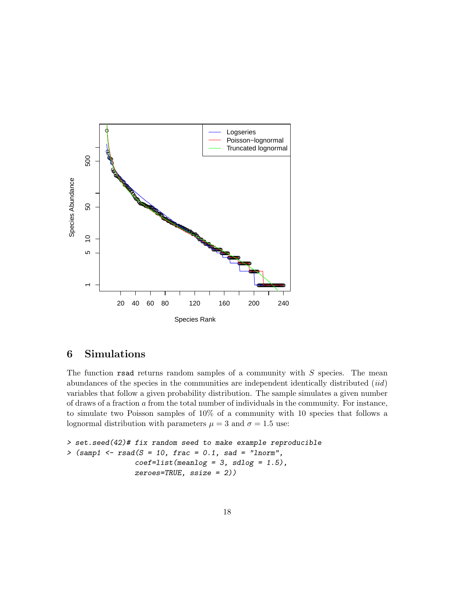

## 6 Simulations

The function rsad returns random samples of a community with  $S$  species. The mean abundances of the species in the communities are independent identically distributed (iid) variables that follow a given probability distribution. The sample simulates a given number of draws of a fraction a from the total number of individuals in the community. For instance, to simulate two Poisson samples of 10% of a community with 10 species that follows a lognormal distribution with parameters  $\mu = 3$  and  $\sigma = 1.5$  use:

```
> set.seed(42)# fix random seed to make example reproducible
> (samp1 <- rsad(S = 10, frac = 0.1, sad = "lnorm",
                coeff=list(meanlog = 3, sdlog = 1.5),
                zeroes=TRUE, ssize = 2))
```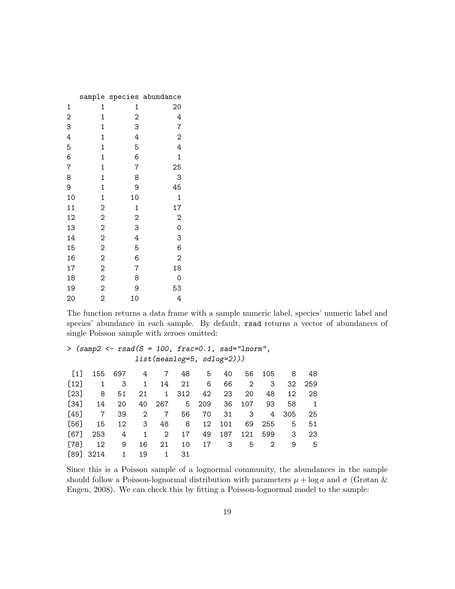|                |                |                | sample species abundance |
|----------------|----------------|----------------|--------------------------|
| 1              | 1              | 1              | 20                       |
| $\overline{c}$ | 1              | $\overline{c}$ | 4                        |
| 3              | $\mathbf 1$    | 3              | 7                        |
| 4              | $\mathbf 1$    | 4              | $\overline{\mathbf{c}}$  |
| 5              | $\mathbf 1$    | 5              | 4                        |
| 6              | $\mathbf 1$    | 6              | 1                        |
| $\overline{7}$ | 1              | 7              | 25                       |
| 8              | $\mathbf 1$    | 8              | 3                        |
| 9              | $\mathbf 1$    | 9              | 45                       |
| 10             | $\mathbf 1$    | 10             | $\mathbf 1$              |
| 11             | $\overline{c}$ | $\mathbf 1$    | 17                       |
| 12             | $\overline{c}$ | 2              | $\overline{c}$           |
| 13             | $\overline{c}$ | 3              | $\mathbf 0$              |
| 14             | $\overline{c}$ | 4              | 3                        |
| 15             | $\overline{c}$ | 5              | 6                        |
| 16             | $\overline{c}$ | 6              | $\overline{2}$           |
| 17             | 2              | 7              | 18                       |
| 18             | $\overline{c}$ | 8              | 0                        |
| 19             | $\overline{2}$ | 9              | 53                       |
| 20             | $\overline{2}$ | 10             | 4                        |

The function returns a data frame with a sample numeric label, species' numeric label and species' abundance in each sample. By default, rsad returns a vector of abundances of single Poisson sample with zeroes omitted:

```
> (samp2 <- rsad(S = 100, frac=0.1, sad="lnorm",
          list(meanlog=5, sdlog=2)))
[1] 155 697 4 7 48 5 40 56 105 8 48
[12] 1 3 1 14 21 6 66 2 3 32 259
[23] 8 51 21 1 312 42 23 20 48 12 28
[34] 14 20 40 267 5 209 36 107 93 58 1
[45] 7 39 2 7 56 70 31 3 4 305 25
[56] 15 12 3 48 8 12 101 69 255 5 51
[67] 253 4 1 2 17 49 187 121 599 3 23
[78] 12 9 16 21 10 17 3 5 2 9 5
[89] 3214 1 19 1 31
```
Since this is a Poisson sample of a lognormal community, the abundances in the sample should follow a Poisson-lognormal distribution with parameters  $\mu + \log a$  and  $\sigma$  (Grøtan & Engen, 2008). We can check this by fitting a Poisson-lognormal model to the sample: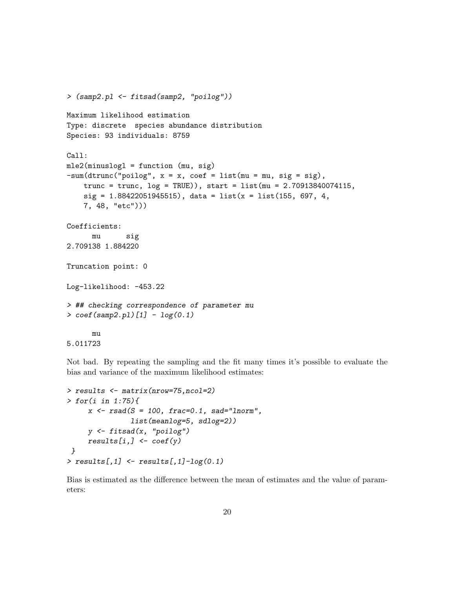```
> (samp2.pl <- fitsad(samp2, "poilog"))
Maximum likelihood estimation
Type: discrete species abundance distribution
Species: 93 individuals: 8759
Call:
mle2(minuslogl = function (mu, sig)
-sum(dtrunc("pointing", x = x, coef = list(mu = mu, sig = sig),trunc = trunc, log = TRUE)), start = list(mu = 2.70913840074115,
    sig = 1.88422051945515, data = list(x = list(155, 697, 4,
    7, 48, "etc")))
Coefficients:
     mu sig
2.709138 1.884220
Truncation point: 0
Log-likelihood: -453.22
> ## checking correspondence of parameter mu
> coef(samp2.pl)[1] - log(0.1)mu
```
5.011723

Not bad. By repeating the sampling and the fit many times it's possible to evaluate the bias and variance of the maximum likelihood estimates:

```
> results <- matrix(nrow=75,ncol=2)
> for(i in 1:75){
     x \leftarrow \text{rsad}(S = 100, \text{ frac=0.1, sad="Inorm",}list(meanlog=5, sdlog=2))
     y <- fitsad(x, "poilog")
     results[i,] \leftarrow coef(y)}
> results[,1] \leftarrow results[,1]-log(0.1)
```
Bias is estimated as the difference between the mean of estimates and the value of parameters: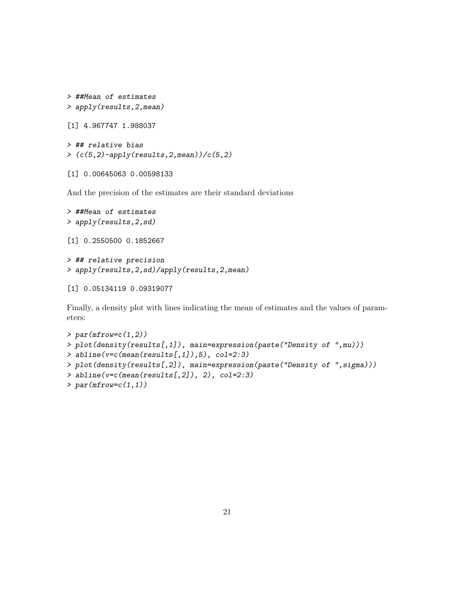```
> ##Mean of estimates
> apply(results,2,mean)
[1] 4.967747 1.988037
> ## relative bias
```

```
>(c(5,2)-apply(results,2,mean))/(c(5,2))
```
[1] 0.00645063 0.00598133

And the precision of the estimates are their standard deviations

```
> ##Mean of estimates
> apply(results,2,sd)
[1] 0.2550500 0.1852667
> ## relative precision
> apply(results,2,sd)/apply(results,2,mean)
[1] 0.05134119 0.09319077
```
Finally, a density plot with lines indicating the mean of estimates and the values of parameters:

```
> par(mfrow=c(1,2))> plot(density(results[,1]), main=expression(paste("Density of ",mu)))
> abline(v=c(mean(results[,1],5), col=2:3)
> plot(density(results[,2]), main=expression(paste("Density of ",sigma)))
> abline(v=c(mean(results[,2], 2), col=2:3)
```

```
> par(mfrow=c(1,1))
```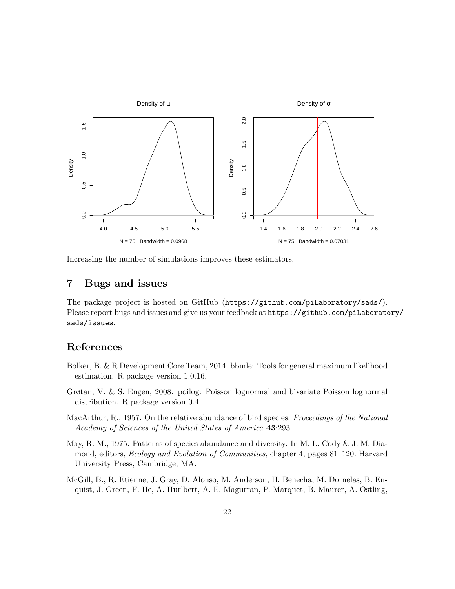

Increasing the number of simulations improves these estimators.

### 7 Bugs and issues

The package project is hosted on GitHub (https://github.com/piLaboratory/sads/). Please report bugs and issues and give us your feedback at https://github.com/piLaboratory/ sads/issues.

### References

- Bolker, B. & R Development Core Team, 2014. bbmle: Tools for general maximum likelihood estimation. R package version 1.0.16.
- Grøtan, V. & S. Engen, 2008. poilog: Poisson lognormal and bivariate Poisson lognormal distribution. R package version 0.4.
- MacArthur, R., 1957. On the relative abundance of bird species. *Proceedings of the National* Academy of Sciences of the United States of America 43:293.
- May, R. M., 1975. Patterns of species abundance and diversity. In M. L. Cody & J. M. Diamond, editors, Ecology and Evolution of Communities, chapter 4, pages 81–120. Harvard University Press, Cambridge, MA.
- McGill, B., R. Etienne, J. Gray, D. Alonso, M. Anderson, H. Benecha, M. Dornelas, B. Enquist, J. Green, F. He, A. Hurlbert, A. E. Magurran, P. Marquet, B. Maurer, A. Ostling,